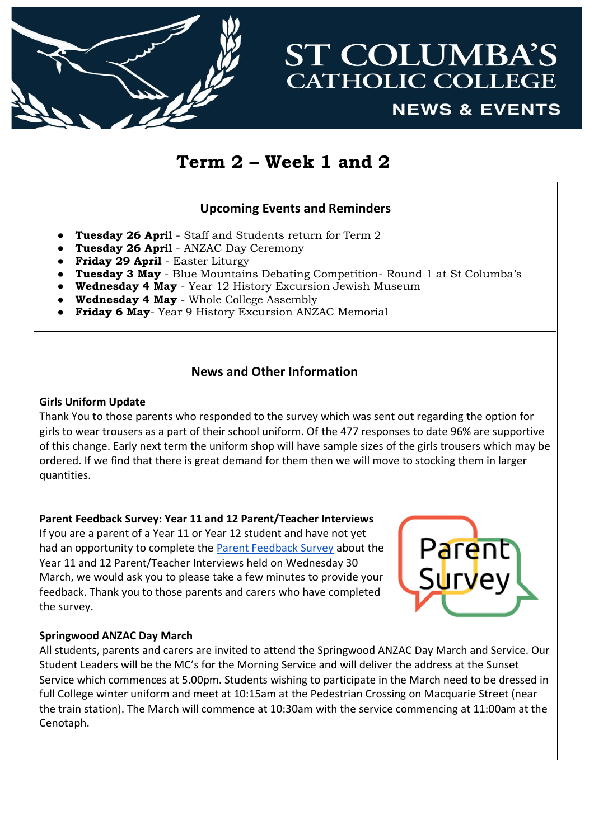

# **ST COLUMBA'S CATHOLIC COLLEGE NEWS & EVENTS**

# **Term 2 – Week 1 and 2**

# **Upcoming Events and Reminders**

- **Tuesday 26 April** Staff and Students return for Term 2
- **Tuesday 26 April** ANZAC Day Ceremony
- **Friday 29 April** Easter Liturgy
- **Tuesday 3 May** Blue Mountains Debating Competition- Round 1 at St Columba's
- **Wednesday 4 May** Year 12 History Excursion Jewish Museum
- **Wednesday 4 May** Whole College Assembly
- **Friday 6 May** Year 9 History Excursion ANZAC Memorial

## **News and Other Information**

#### **Girls Uniform Update**

Thank You to those parents who responded to the survey which was sent out regarding the option for girls to wear trousers as a part of their school uniform. Of the 477 responses to date 96% are supportive of this change. Early next term the uniform shop will have sample sizes of the girls trousers which may be ordered. If we find that there is great demand for them then we will move to stocking them in larger quantities.

## **Parent Feedback Survey: Year 11 and 12 Parent/Teacher Interviews**

If you are a parent of a Year 11 or Year 12 student and have not yet had an opportunity to complete the [Parent Feedback Survey](https://docs.google.com/forms/d/1JQANLTTemhi_UvMoascWjfynjQuDtwppIcmzNloW1rQ/edit) about the Year 11 and 12 Parent/Teacher Interviews held on Wednesday 30 March, we would ask you to please take a few minutes to provide your feedback. Thank you to those parents and carers who have completed the survey.



## **Springwood ANZAC Day March**

All students, parents and carers are invited to attend the Springwood ANZAC Day March and Service. Our Student Leaders will be the MC's for the Morning Service and will deliver the address at the Sunset Service which commences at 5.00pm. Students wishing to participate in the March need to be dressed in full College winter uniform and meet at 10:15am at the Pedestrian Crossing on Macquarie Street (near the train station). The March will commence at 10:30am with the service commencing at 11:00am at the Cenotaph.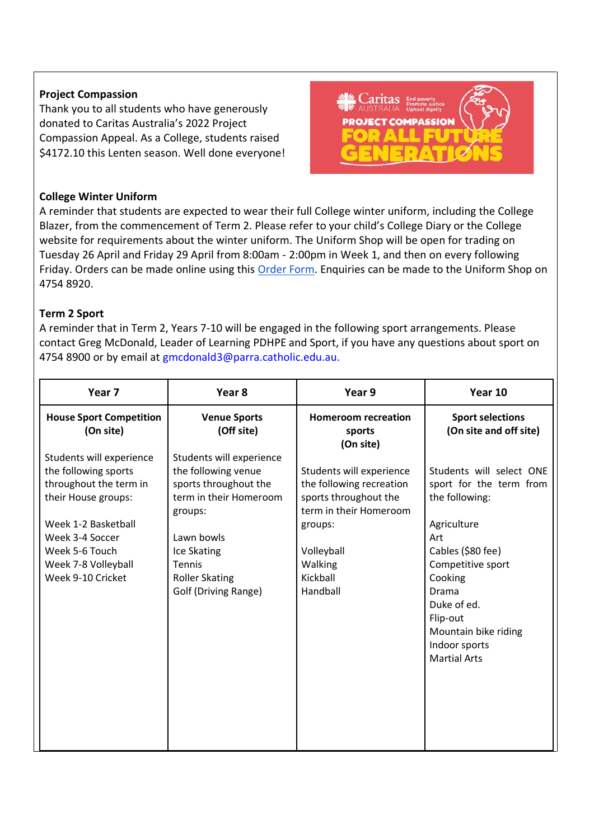#### **Project Compassion**

Thank you to all students who have generously donated to Caritas Australia's 2022 Project Compassion Appeal. As a College, students raised \$4172.10 this Lenten season. Well done everyone!



#### **College Winter Uniform**

A reminder that students are expected to wear their full College winter uniform, including the College Blazer, from the commencement of Term 2. Please refer to your child's College Diary or the College website for requirements about the winter uniform. The Uniform Shop will be open for trading on Tuesday 26 April and Friday 29 April from 8:00am - 2:00pm in Week 1, and then on every following Friday. Orders can be made online using this [Order Form.](https://www.stcolumbasspringwood.catholic.edu.au/-/media/Files/CEDP/Sites/Secondary/StColumbasCollegeSpringwood-Files/2021-Files/Miscellaneous/SCCC-Uniform-Shop-Order-Forms-Updated-Interactive-2021-20210618.pdf) Enquiries can be made to the Uniform Shop on 4754 8920.

#### **Term 2 Sport**

A reminder that in Term 2, Years 7-10 will be engaged in the following sport arrangements. Please contact Greg McDonald, Leader of Learning PDHPE and Sport, if you have any questions about sport on 4754 8900 or by email at gmcdonald3@parra.catholic.edu.au.

| Year <sub>7</sub>                                                                                                                                                                                         | Year 8                                                                                                                                                                                                       | Year 9                                                                                                                                                              | Year 10                                                                                                                                                                                                                                                     |
|-----------------------------------------------------------------------------------------------------------------------------------------------------------------------------------------------------------|--------------------------------------------------------------------------------------------------------------------------------------------------------------------------------------------------------------|---------------------------------------------------------------------------------------------------------------------------------------------------------------------|-------------------------------------------------------------------------------------------------------------------------------------------------------------------------------------------------------------------------------------------------------------|
| <b>House Sport Competition</b><br>(On site)                                                                                                                                                               | <b>Venue Sports</b><br>(Off site)                                                                                                                                                                            | <b>Homeroom recreation</b><br>sports<br>(On site)                                                                                                                   | <b>Sport selections</b><br>(On site and off site)                                                                                                                                                                                                           |
| Students will experience<br>the following sports<br>throughout the term in<br>their House groups:<br>Week 1-2 Basketball<br>Week 3-4 Soccer<br>Week 5-6 Touch<br>Week 7-8 Volleyball<br>Week 9-10 Cricket | Students will experience<br>the following venue<br>sports throughout the<br>term in their Homeroom<br>groups:<br>Lawn bowls<br>Ice Skating<br><b>Tennis</b><br><b>Roller Skating</b><br>Golf (Driving Range) | Students will experience<br>the following recreation<br>sports throughout the<br>term in their Homeroom<br>groups:<br>Volleyball<br>Walking<br>Kickball<br>Handball | Students will select ONE<br>sport for the term from<br>the following:<br>Agriculture<br>Art<br>Cables (\$80 fee)<br>Competitive sport<br>Cooking<br><b>Drama</b><br>Duke of ed.<br>Flip-out<br>Mountain bike riding<br>Indoor sports<br><b>Martial Arts</b> |